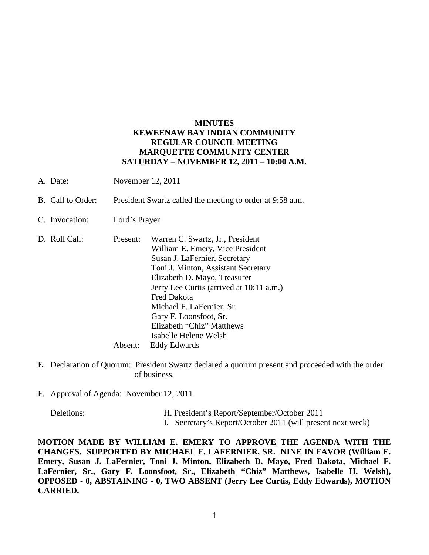## **MINUTES KEWEENAW BAY INDIAN COMMUNITY REGULAR COUNCIL MEETING MARQUETTE COMMUNITY CENTER SATURDAY – NOVEMBER 12, 2011 – 10:00 A.M.**

- A. Date: November 12, 2011
- B. Call to Order: President Swartz called the meeting to order at 9:58 a.m.
- C. Invocation: Lord's Prayer
- D. Roll Call: Present: Warren C. Swartz, Jr., President William E. Emery, Vice President Susan J. LaFernier, Secretary Toni J. Minton, Assistant Secretary Elizabeth D. Mayo, Treasurer Jerry Lee Curtis (arrived at 10:11 a.m.) Fred Dakota Michael F. LaFernier, Sr. Gary F. Loonsfoot, Sr. Elizabeth "Chiz" Matthews Isabelle Helene Welsh Absent: Eddy Edwards
- E. Declaration of Quorum: President Swartz declared a quorum present and proceeded with the order of business.
- F. Approval of Agenda: November 12, 2011

- Deletions: H. President's Report/September/October 2011
	- I. Secretary's Report/October 2011 (will present next week)

**MOTION MADE BY WILLIAM E. EMERY TO APPROVE THE AGENDA WITH THE CHANGES. SUPPORTED BY MICHAEL F. LAFERNIER, SR. NINE IN FAVOR (William E. Emery, Susan J. LaFernier, Toni J. Minton, Elizabeth D. Mayo, Fred Dakota, Michael F. LaFernier, Sr., Gary F. Loonsfoot, Sr., Elizabeth "Chiz" Matthews, Isabelle H. Welsh), OPPOSED - 0, ABSTAINING - 0, TWO ABSENT (Jerry Lee Curtis, Eddy Edwards), MOTION CARRIED.**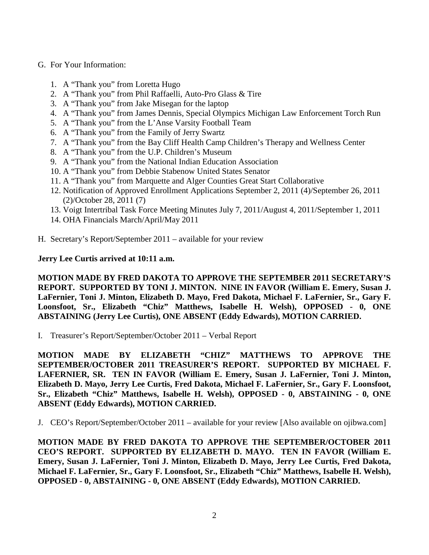- G. For Your Information:
	- 1. A "Thank you" from Loretta Hugo
	- 2. A "Thank you" from Phil Raffaelli, Auto-Pro Glass & Tire
	- 3. A "Thank you" from Jake Misegan for the laptop
	- 4. A "Thank you" from James Dennis, Special Olympics Michigan Law Enforcement Torch Run
	- 5. A "Thank you" from the L'Anse Varsity Football Team
	- 6. A "Thank you" from the Family of Jerry Swartz
	- 7. A "Thank you" from the Bay Cliff Health Camp Children's Therapy and Wellness Center
	- 8. A "Thank you" from the U.P. Children's Museum
	- 9. A "Thank you" from the National Indian Education Association
	- 10. A "Thank you" from Debbie Stabenow United States Senator
	- 11. A "Thank you" from Marquette and Alger Counties Great Start Collaborative
	- 12. Notification of Approved Enrollment Applications September 2, 2011 (4)/September 26, 2011 (2)/October 28, 2011 (7)
	- 13. Voigt Intertribal Task Force Meeting Minutes July 7, 2011/August 4, 2011/September 1, 2011
	- 14. OHA Financials March/April/May 2011
- H. Secretary's Report/September 2011 available for your review

## **Jerry Lee Curtis arrived at 10:11 a.m.**

**MOTION MADE BY FRED DAKOTA TO APPROVE THE SEPTEMBER 2011 SECRETARY'S REPORT. SUPPORTED BY TONI J. MINTON. NINE IN FAVOR (William E. Emery, Susan J. LaFernier, Toni J. Minton, Elizabeth D. Mayo, Fred Dakota, Michael F. LaFernier, Sr., Gary F. Loonsfoot, Sr., Elizabeth "Chiz" Matthews, Isabelle H. Welsh), OPPOSED - 0, ONE ABSTAINING (Jerry Lee Curtis), ONE ABSENT (Eddy Edwards), MOTION CARRIED.**

I. Treasurer's Report/September/October 2011 – Verbal Report

**MOTION MADE BY ELIZABETH "CHIZ" MATTHEWS TO APPROVE THE SEPTEMBER/OCTOBER 2011 TREASURER'S REPORT. SUPPORTED BY MICHAEL F. LAFERNIER, SR. TEN IN FAVOR (William E. Emery, Susan J. LaFernier, Toni J. Minton, Elizabeth D. Mayo, Jerry Lee Curtis, Fred Dakota, Michael F. LaFernier, Sr., Gary F. Loonsfoot, Sr., Elizabeth "Chiz" Matthews, Isabelle H. Welsh), OPPOSED - 0, ABSTAINING - 0, ONE ABSENT (Eddy Edwards), MOTION CARRIED.**

J. CEO's Report/September/October 2011 – available for your review [Also available on ojibwa.com]

**MOTION MADE BY FRED DAKOTA TO APPROVE THE SEPTEMBER/OCTOBER 2011 CEO'S REPORT. SUPPORTED BY ELIZABETH D. MAYO. TEN IN FAVOR (William E. Emery, Susan J. LaFernier, Toni J. Minton, Elizabeth D. Mayo, Jerry Lee Curtis, Fred Dakota, Michael F. LaFernier, Sr., Gary F. Loonsfoot, Sr., Elizabeth "Chiz" Matthews, Isabelle H. Welsh), OPPOSED - 0, ABSTAINING - 0, ONE ABSENT (Eddy Edwards), MOTION CARRIED.**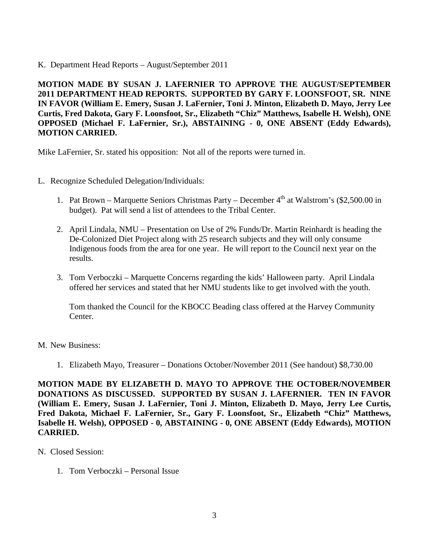K. Department Head Reports – August/September 2011

**MOTION MADE BY SUSAN J. LAFERNIER TO APPROVE THE AUGUST/SEPTEMBER 2011 DEPARTMENT HEAD REPORTS. SUPPORTED BY GARY F. LOONSFOOT, SR. NINE IN FAVOR (William E. Emery, Susan J. LaFernier, Toni J. Minton, Elizabeth D. Mayo, Jerry Lee Curtis, Fred Dakota, Gary F. Loonsfoot, Sr., Elizabeth "Chiz" Matthews, Isabelle H. Welsh), ONE OPPOSED (Michael F. LaFernier, Sr.), ABSTAINING - 0, ONE ABSENT (Eddy Edwards), MOTION CARRIED.**

Mike LaFernier, Sr. stated his opposition: Not all of the reports were turned in.

- L. Recognize Scheduled Delegation/Individuals:
	- 1. Pat Brown Marquette Seniors Christmas Party December  $4<sup>th</sup>$  at Walstrom's (\$2,500.00 in budget). Pat will send a list of attendees to the Tribal Center.
	- 2. April Lindala, NMU Presentation on Use of 2% Funds/Dr. Martin Reinhardt is heading the De-Colonized Diet Project along with 25 research subjects and they will only consume Indigenous foods from the area for one year. He will report to the Council next year on the results.
	- 3. Tom Verboczki Marquette Concerns regarding the kids' Halloween party. April Lindala offered her services and stated that her NMU students like to get involved with the youth.

Tom thanked the Council for the KBOCC Beading class offered at the Harvey Community Center.

M. New Business:

1. Elizabeth Mayo, Treasurer – Donations October/November 2011 (See handout) \$8,730.00

**MOTION MADE BY ELIZABETH D. MAYO TO APPROVE THE OCTOBER/NOVEMBER DONATIONS AS DISCUSSED. SUPPORTED BY SUSAN J. LAFERNIER. TEN IN FAVOR (William E. Emery, Susan J. LaFernier, Toni J. Minton, Elizabeth D. Mayo, Jerry Lee Curtis, Fred Dakota, Michael F. LaFernier, Sr., Gary F. Loonsfoot, Sr., Elizabeth "Chiz" Matthews, Isabelle H. Welsh), OPPOSED - 0, ABSTAINING - 0, ONE ABSENT (Eddy Edwards), MOTION CARRIED.**

- N. Closed Session:
	- 1. Tom Verboczki Personal Issue